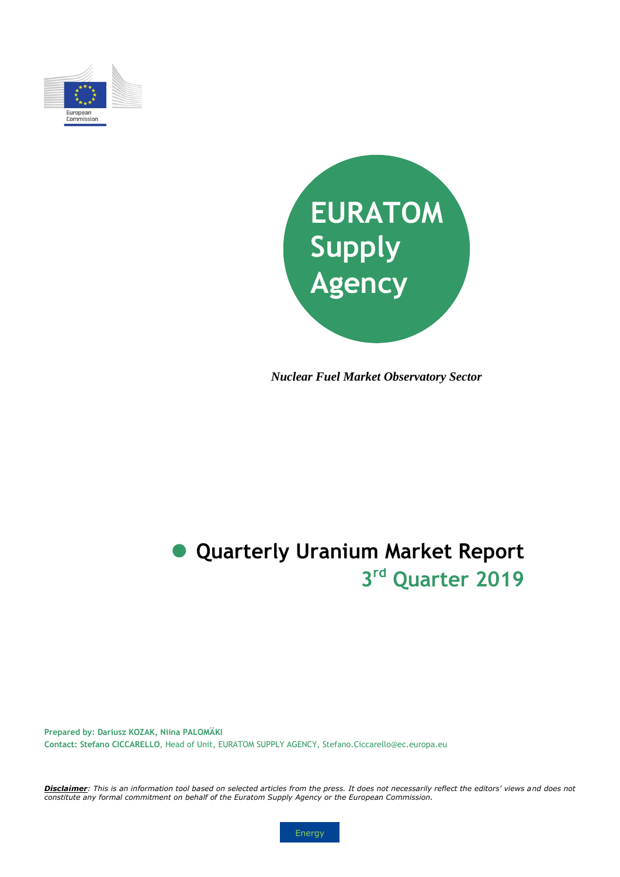



*Nuclear Fuel Market Observatory Sector*

# **3 rd Quarter 2019 Quarterly Uranium Market Report**

**Prepared by: Dariusz KOZAK, Niina PALOMÄKI Contact: Stefano CICCARELLO**, Head of Unit, EURATOM SUPPLY AGENCY, Stefano.Ciccarello@ec.europa.eu

*Disclaimer: This is an information tool based on selected articles from the press. It does not necessarily reflect the editors' views and does not constitute any formal commitment on behalf of the Euratom Supply Agency or the European Commission.*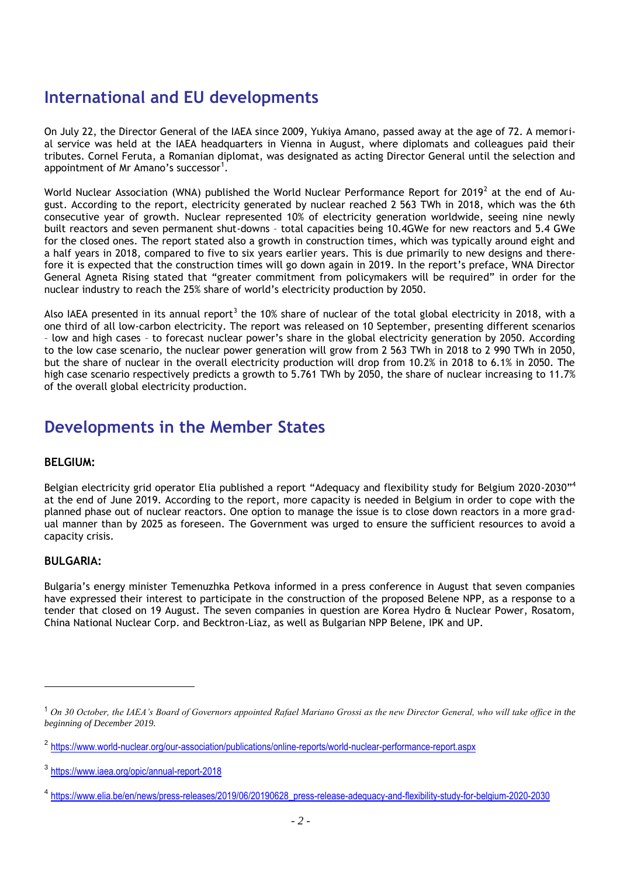### **International and EU developments**

On July 22, the Director General of the IAEA since 2009, Yukiya Amano, passed away at the age of 72. A memorial service was held at the IAEA headquarters in Vienna in August, where diplomats and colleagues paid their tributes. Cornel Feruta, a Romanian diplomat, was designated as acting Director General until the selection and appointment of Mr Amano's successor<sup>1</sup>.

World Nuclear Association (WNA) published the World Nuclear Performance Report for 2019 $^2$  at the end of August. According to the report, electricity generated by nuclear reached 2 563 TWh in 2018, which was the 6th consecutive year of growth. Nuclear represented 10% of electricity generation worldwide, seeing nine newly built reactors and seven permanent shut-downs – total capacities being 10.4GWe for new reactors and 5.4 GWe for the closed ones. The report stated also a growth in construction times, which was typically around eight and a half years in 2018, compared to five to six years earlier years. This is due primarily to new designs and therefore it is expected that the construction times will go down again in 2019. In the report's preface, WNA Director General Agneta Rising stated that "greater commitment from policymakers will be required" in order for the nuclear industry to reach the 25% share of world's electricity production by 2050.

Also IAEA presented in its annual report<sup>3</sup> the 10% share of nuclear of the total global electricity in 2018, with a one third of all low-carbon electricity. The report was released on 10 September, presenting different scenarios – low and high cases – to forecast nuclear power's share in the global electricity generation by 2050. According to the low case scenario, the nuclear power generation will grow from 2 563 TWh in 2018 to 2 990 TWh in 2050, but the share of nuclear in the overall electricity production will drop from 10.2% in 2018 to 6.1% in 2050. The high case scenario respectively predicts a growth to 5.761 TWh by 2050, the share of nuclear increasing to 11.7% of the overall global electricity production.

### **Developments in the Member States**

#### **BELGIUM:**

Belgian electricity grid operator Elia published a report "Adequacy and flexibility study for Belgium 2020-2030"<sup>4</sup> at the end of June 2019. According to the report, more capacity is needed in Belgium in order to cope with the planned phase out of nuclear reactors. One option to manage the issue is to close down reactors in a more gradual manner than by 2025 as foreseen. The Government was urged to ensure the sufficient resources to avoid a capacity crisis.

#### **BULGARIA:**

 $\overline{\phantom{a}}$ 

Bulgaria's energy minister Temenuzhka Petkova informed in a press conference in August that seven companies have expressed their interest to participate in the construction of the proposed Belene NPP, as a response to a tender that closed on 19 August. The seven companies in question are Korea Hydro & Nuclear Power, Rosatom, China National Nuclear Corp. and Becktron-Liaz, as well as Bulgarian NPP Belene, IPK and UP.

<sup>1</sup> *On 30 October, the IAEA's Board of Governors appointed Rafael Mariano Grossi as the new Director General, who will take office in the beginning of December 2019.*

<sup>&</sup>lt;sup>2</sup> <https://www.world-nuclear.org/our-association/publications/online-reports/world-nuclear-performance-report.aspx>

<sup>3</sup> <https://www.iaea.org/opic/annual-report-2018>

<sup>4</sup> [https://www.elia.be/en/news/press-releases/2019/06/20190628\\_press-release-adequacy-and-flexibility-study-for-belgium-2020-2030](https://www.elia.be/en/news/press-releases/2019/06/20190628_press-release-adequacy-and-flexibility-study-for-belgium-2020-2030)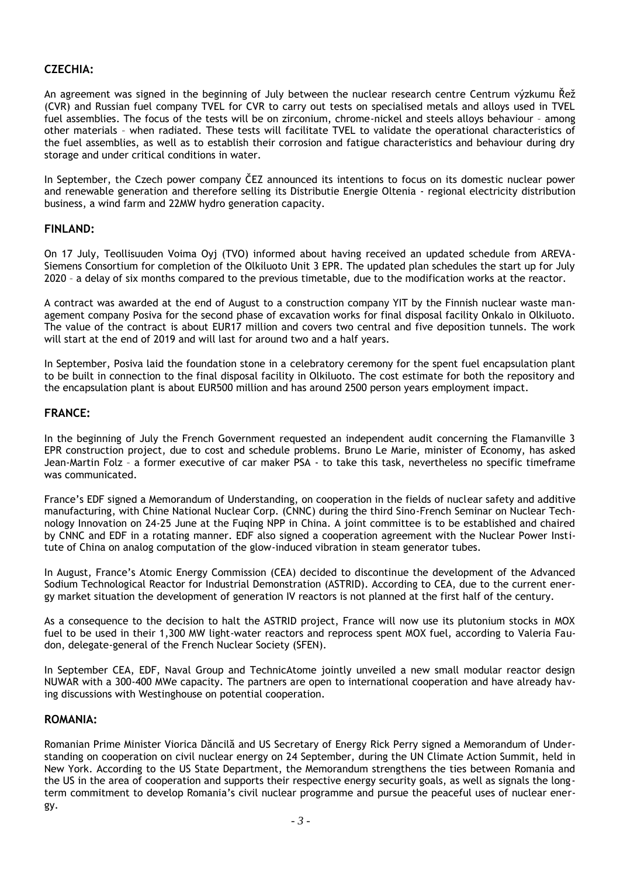### **CZECHIA:**

An agreement was signed in the beginning of July between the nuclear research centre Centrum výzkumu Řež (CVR) and Russian fuel company TVEL for CVR to carry out tests on specialised metals and alloys used in TVEL fuel assemblies. The focus of the tests will be on zirconium, chrome-nickel and steels alloys behaviour – among other materials – when radiated. These tests will facilitate TVEL to validate the operational characteristics of the fuel assemblies, as well as to establish their corrosion and fatigue characteristics and behaviour during dry storage and under critical conditions in water.

In September, the Czech power company ČEZ announced its intentions to focus on its domestic nuclear power and renewable generation and therefore selling its Distributie Energie Oltenia - regional electricity distribution business, a wind farm and 22MW hydro generation capacity.

#### **FINLAND:**

On 17 July, Teollisuuden Voima Oyj (TVO) informed about having received an updated schedule from AREVA-Siemens Consortium for completion of the Olkiluoto Unit 3 EPR. The updated plan schedules the start up for July 2020 – a delay of six months compared to the previous timetable, due to the modification works at the reactor.

A contract was awarded at the end of August to a construction company YIT by the Finnish nuclear waste management company Posiva for the second phase of excavation works for final disposal facility Onkalo in Olkiluoto. The value of the contract is about EUR17 million and covers two central and five deposition tunnels. The work will start at the end of 2019 and will last for around two and a half years.

In September, Posiva laid the foundation stone in a celebratory ceremony for the spent fuel encapsulation plant to be built in connection to the final disposal facility in Olkiluoto. The cost estimate for both the repository and the encapsulation plant is about EUR500 million and has around 2500 person years employment impact.

#### **FRANCE:**

In the beginning of July the French Government requested an independent audit concerning the Flamanville 3 EPR construction project, due to cost and schedule problems. Bruno Le Marie, minister of Economy, has asked Jean-Martin Folz – a former executive of car maker PSA - to take this task, nevertheless no specific timeframe was communicated.

France's EDF signed a Memorandum of Understanding, on cooperation in the fields of nuclear safety and additive manufacturing, with Chine National Nuclear Corp. (CNNC) during the third Sino-French Seminar on Nuclear Technology Innovation on 24-25 June at the Fuqing NPP in China. A joint committee is to be established and chaired by CNNC and EDF in a rotating manner. EDF also signed a cooperation agreement with the Nuclear Power Institute of China on analog computation of the glow-induced vibration in steam generator tubes.

In August, France's Atomic Energy Commission (CEA) decided to discontinue the development of the Advanced Sodium Technological Reactor for Industrial Demonstration (ASTRID). According to CEA, due to the current energy market situation the development of generation IV reactors is not planned at the first half of the century.

As a consequence to the decision to halt the ASTRID project, France will now use its plutonium stocks in MOX fuel to be used in their 1,300 MW light-water reactors and reprocess spent MOX fuel, according to Valeria Faudon, delegate-general of the French Nuclear Society (SFEN).

In September CEA, EDF, Naval Group and TechnicAtome jointly unveiled a new small modular reactor design NUWAR with a 300-400 MWe capacity. The partners are open to international cooperation and have already having discussions with Westinghouse on potential cooperation.

#### **ROMANIA:**

Romanian Prime Minister Viorica Dăncilă and US Secretary of Energy Rick Perry signed a Memorandum of Understanding on cooperation on civil nuclear energy on 24 September, during the UN Climate Action Summit, held in New York. According to the US State Department, the Memorandum strengthens the ties between Romania and the US in the area of cooperation and supports their respective energy security goals, as well as signals the longterm commitment to develop Romania's civil nuclear programme and pursue the peaceful uses of nuclear energy.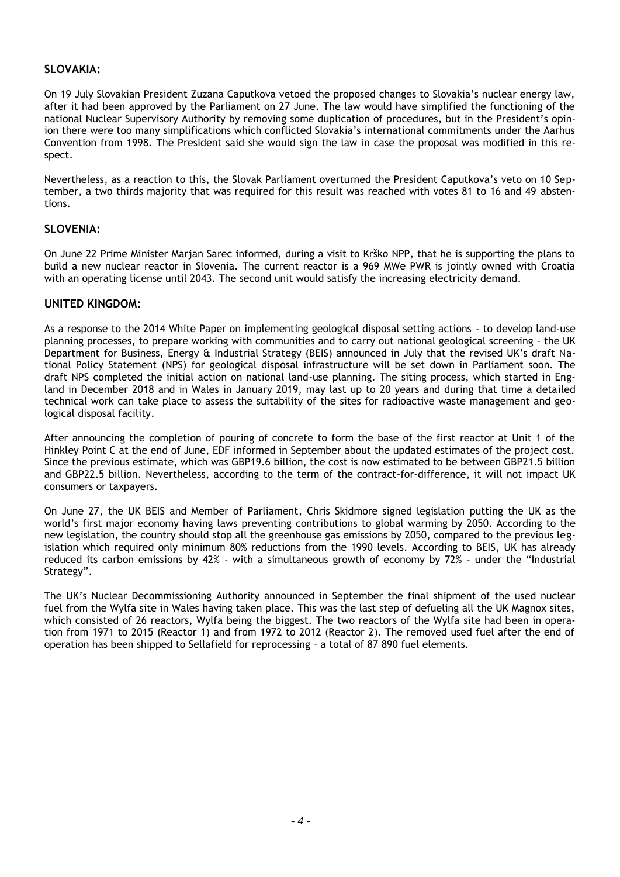#### **SLOVAKIA:**

On 19 July Slovakian President Zuzana Caputkova vetoed the proposed changes to Slovakia's nuclear energy law, after it had been approved by the Parliament on 27 June. The law would have simplified the functioning of the national Nuclear Supervisory Authority by removing some duplication of procedures, but in the President's opinion there were too many simplifications which conflicted Slovakia's international commitments under the Aarhus Convention from 1998. The President said she would sign the law in case the proposal was modified in this respect.

Nevertheless, as a reaction to this, the Slovak Parliament overturned the President Caputkova's veto on 10 September, a two thirds majority that was required for this result was reached with votes 81 to 16 and 49 abstentions.

#### **SLOVENIA:**

On June 22 Prime Minister Marjan Sarec informed, during a visit to Krško NPP, that he is supporting the plans to build a new nuclear reactor in Slovenia. The current reactor is a 969 MWe PWR is jointly owned with Croatia with an operating license until 2043. The second unit would satisfy the increasing electricity demand.

#### **UNITED KINGDOM:**

As a response to the 2014 White Paper on implementing geological disposal setting actions - to develop land-use planning processes, to prepare working with communities and to carry out national geological screening - the UK Department for Business, Energy & Industrial Strategy (BEIS) announced in July that the revised UK's draft National Policy Statement (NPS) for geological disposal infrastructure will be set down in Parliament soon. The draft NPS completed the initial action on national land-use planning. The siting process, which started in England in December 2018 and in Wales in January 2019, may last up to 20 years and during that time a detailed technical work can take place to assess the suitability of the sites for radioactive waste management and geological disposal facility.

After announcing the completion of pouring of concrete to form the base of the first reactor at Unit 1 of the Hinkley Point C at the end of June, EDF informed in September about the updated estimates of the project cost. Since the previous estimate, which was GBP19.6 billion, the cost is now estimated to be between GBP21.5 billion and GBP22.5 billion. Nevertheless, according to the term of the contract-for-difference, it will not impact UK consumers or taxpayers.

On June 27, the UK BEIS and Member of Parliament, Chris Skidmore signed legislation putting the UK as the world's first major economy having laws preventing contributions to global warming by 2050. According to the new legislation, the country should stop all the greenhouse gas emissions by 2050, compared to the previous legislation which required only minimum 80% reductions from the 1990 levels. According to BEIS, UK has already reduced its carbon emissions by 42% - with a simultaneous growth of economy by 72% - under the "Industrial Strategy".

The UK's Nuclear Decommissioning Authority announced in September the final shipment of the used nuclear fuel from the Wylfa site in Wales having taken place. This was the last step of defueling all the UK Magnox sites, which consisted of 26 reactors, Wylfa being the biggest. The two reactors of the Wylfa site had been in operation from 1971 to 2015 (Reactor 1) and from 1972 to 2012 (Reactor 2). The removed used fuel after the end of operation has been shipped to Sellafield for reprocessing – a total of 87 890 fuel elements.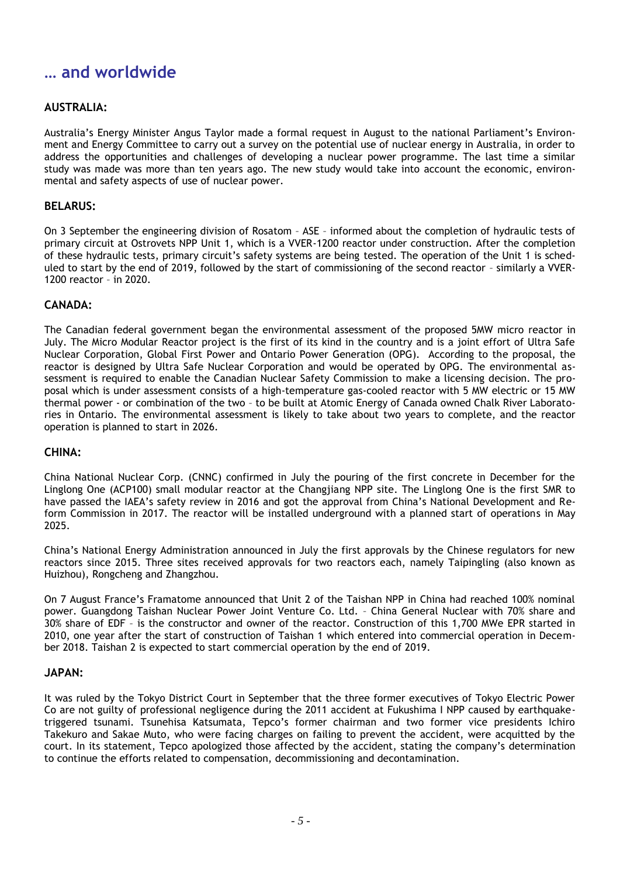### **… and worldwide**

### **AUSTRALIA:**

Australia's Energy Minister Angus Taylor made a formal request in August to the national Parliament's Environment and Energy Committee to carry out a survey on the potential use of nuclear energy in Australia, in order to address the opportunities and challenges of developing a nuclear power programme. The last time a similar study was made was more than ten years ago. The new study would take into account the economic, environmental and safety aspects of use of nuclear power.

#### **BELARUS:**

On 3 September the engineering division of Rosatom – ASE – informed about the completion of hydraulic tests of primary circuit at Ostrovets NPP Unit 1, which is a VVER-1200 reactor under construction. After the completion of these hydraulic tests, primary circuit's safety systems are being tested. The operation of the Unit 1 is scheduled to start by the end of 2019, followed by the start of commissioning of the second reactor – similarly a VVER-1200 reactor – in 2020.

#### **CANADA:**

The Canadian federal government began the environmental assessment of the proposed 5MW micro reactor in July. The Micro Modular Reactor project is the first of its kind in the country and is a joint effort of Ultra Safe Nuclear Corporation, Global First Power and Ontario Power Generation (OPG). According to the proposal, the reactor is designed by Ultra Safe Nuclear Corporation and would be operated by OPG. The environmental assessment is required to enable the Canadian Nuclear Safety Commission to make a licensing decision. The proposal which is under assessment consists of a high-temperature gas-cooled reactor with 5 MW electric or 15 MW thermal power - or combination of the two – to be built at Atomic Energy of Canada owned Chalk River Laboratories in Ontario. The environmental assessment is likely to take about two years to complete, and the reactor operation is planned to start in 2026.

#### **CHINA:**

China National Nuclear Corp. (CNNC) confirmed in July the pouring of the first concrete in December for the Linglong One (ACP100) small modular reactor at the Changjiang NPP site. The Linglong One is the first SMR to have passed the IAEA's safety review in 2016 and got the approval from China's National Development and Reform Commission in 2017. The reactor will be installed underground with a planned start of operations in May 2025.

China's National Energy Administration announced in July the first approvals by the Chinese regulators for new reactors since 2015. Three sites received approvals for two reactors each, namely Taipingling (also known as Huizhou), Rongcheng and Zhangzhou.

On 7 August France's Framatome announced that Unit 2 of the Taishan NPP in China had reached 100% nominal power. Guangdong Taishan Nuclear Power Joint Venture Co. Ltd. – China General Nuclear with 70% share and 30% share of EDF – is the constructor and owner of the reactor. Construction of this 1,700 MWe EPR started in 2010, one year after the start of construction of Taishan 1 which entered into commercial operation in December 2018. Taishan 2 is expected to start commercial operation by the end of 2019.

#### **JAPAN:**

It was ruled by the Tokyo District Court in September that the three former executives of Tokyo Electric Power Co are not guilty of professional negligence during the 2011 accident at Fukushima I NPP caused by earthquaketriggered tsunami. Tsunehisa Katsumata, Tepco's former chairman and two former vice presidents Ichiro Takekuro and Sakae Muto, who were facing charges on failing to prevent the accident, were acquitted by the court. In its statement, Tepco apologized those affected by the accident, stating the company's determination to continue the efforts related to compensation, decommissioning and decontamination.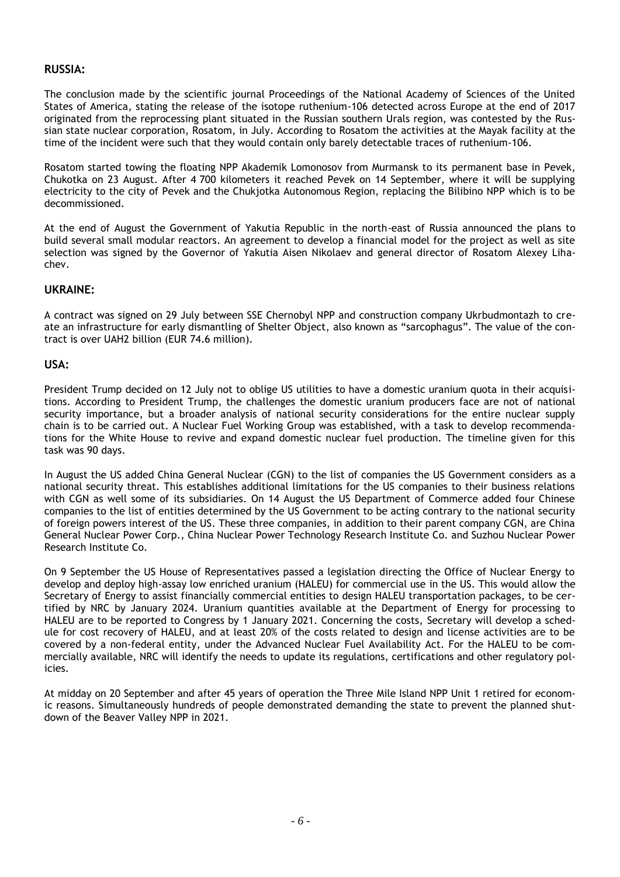#### **RUSSIA:**

The conclusion made by the scientific journal Proceedings of the National Academy of Sciences of the United States of America, stating the release of the isotope ruthenium-106 detected across Europe at the end of 2017 originated from the reprocessing plant situated in the Russian southern Urals region, was contested by the Russian state nuclear corporation, Rosatom, in July. According to Rosatom the activities at the Mayak facility at the time of the incident were such that they would contain only barely detectable traces of ruthenium-106.

Rosatom started towing the floating NPP Akademik Lomonosov from Murmansk to its permanent base in Pevek, Chukotka on 23 August. After 4 700 kilometers it reached Pevek on 14 September, where it will be supplying electricity to the city of Pevek and the Chukjotka Autonomous Region, replacing the Bilibino NPP which is to be decommissioned.

At the end of August the Government of Yakutia Republic in the north-east of Russia announced the plans to build several small modular reactors. An agreement to develop a financial model for the project as well as site selection was signed by the Governor of Yakutia Aisen Nikolaev and general director of Rosatom Alexey Lihachev.

#### **UKRAINE:**

A contract was signed on 29 July between SSE Chernobyl NPP and construction company Ukrbudmontazh to create an infrastructure for early dismantling of Shelter Object, also known as "sarcophagus". The value of the contract is over UAH2 billion (EUR 74.6 million).

#### **USA:**

President Trump decided on 12 July not to oblige US utilities to have a domestic uranium quota in their acquisitions. According to President Trump, the challenges the domestic uranium producers face are not of national security importance, but a broader analysis of national security considerations for the entire nuclear supply chain is to be carried out. A Nuclear Fuel Working Group was established, with a task to develop recommendations for the White House to revive and expand domestic nuclear fuel production. The timeline given for this task was 90 days.

In August the US added China General Nuclear (CGN) to the list of companies the US Government considers as a national security threat. This establishes additional limitations for the US companies to their business relations with CGN as well some of its subsidiaries. On 14 August the US Department of Commerce added four Chinese companies to the list of entities determined by the US Government to be acting contrary to the national security of foreign powers interest of the US. These three companies, in addition to their parent company CGN, are China General Nuclear Power Corp., China Nuclear Power Technology Research Institute Co. and Suzhou Nuclear Power Research Institute Co.

On 9 September the US House of Representatives passed a legislation directing the Office of Nuclear Energy to develop and deploy high-assay low enriched uranium (HALEU) for commercial use in the US. This would allow the Secretary of Energy to assist financially commercial entities to design HALEU transportation packages, to be certified by NRC by January 2024. Uranium quantities available at the Department of Energy for processing to HALEU are to be reported to Congress by 1 January 2021. Concerning the costs, Secretary will develop a schedule for cost recovery of HALEU, and at least 20% of the costs related to design and license activities are to be covered by a non-federal entity, under the Advanced Nuclear Fuel Availability Act. For the HALEU to be commercially available, NRC will identify the needs to update its regulations, certifications and other regulatory policies.

At midday on 20 September and after 45 years of operation the Three Mile Island NPP Unit 1 retired for economic reasons. Simultaneously hundreds of people demonstrated demanding the state to prevent the planned shutdown of the Beaver Valley NPP in 2021.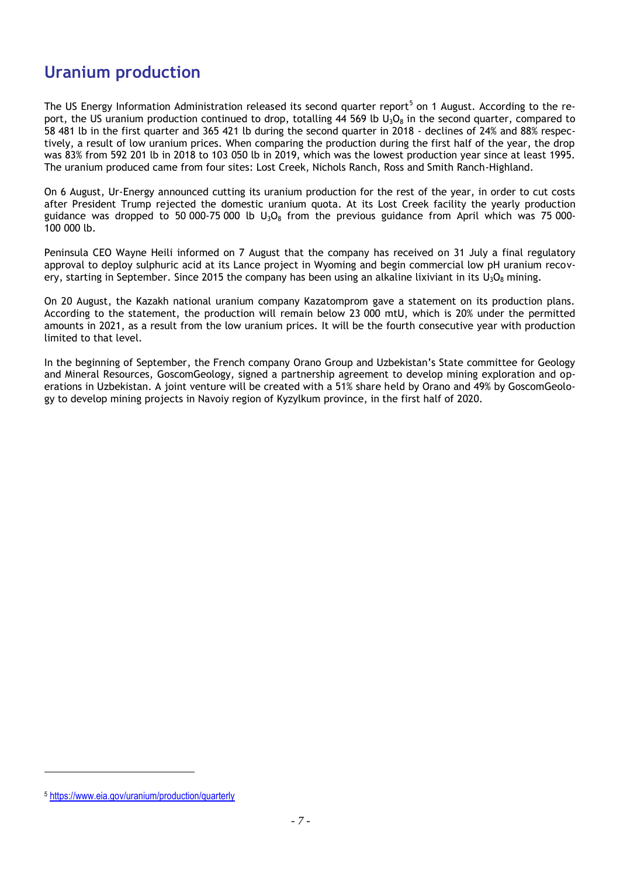### **Uranium production**

The US Energy Information Administration released its second quarter report<sup>5</sup> on 1 August. According to the report, the US uranium production continued to drop, totalling 44 569 lb  $U_3O_8$  in the second quarter, compared to 58 481 lb in the first quarter and 365 421 lb during the second quarter in 2018 - declines of 24% and 88% respectively, a result of low uranium prices. When comparing the production during the first half of the year, the drop was 83% from 592 201 lb in 2018 to 103 050 lb in 2019, which was the lowest production year since at least 1995. The uranium produced came from four sites: Lost Creek, Nichols Ranch, Ross and Smith Ranch-Highland.

On 6 August, Ur-Energy announced cutting its uranium production for the rest of the year, in order to cut costs after President Trump rejected the domestic uranium quota. At its Lost Creek facility the yearly production guidance was dropped to 50 000-75 000 lb  $U_3O_8$  from the previous guidance from April which was 75 000-100 000 lb.

Peninsula CEO Wayne Heili informed on 7 August that the company has received on 31 July a final regulatory approval to deploy sulphuric acid at its Lance project in Wyoming and begin commercial low pH uranium recovery, starting in September. Since 2015 the company has been using an alkaline lixiviant in its  $U_3O_8$  mining.

On 20 August, the Kazakh national uranium company Kazatomprom gave a statement on its production plans. According to the statement, the production will remain below 23 000 mtU, which is 20% under the permitted amounts in 2021, as a result from the low uranium prices. It will be the fourth consecutive year with production limited to that level.

In the beginning of September, the French company Orano Group and Uzbekistan's State committee for Geology and Mineral Resources, GoscomGeology, signed a partnership agreement to develop mining exploration and operations in Uzbekistan. A joint venture will be created with a 51% share held by Orano and 49% by GoscomGeology to develop mining projects in Navoiy region of Kyzylkum province, in the first half of 2020.

l

<sup>5</sup> <https://www.eia.gov/uranium/production/quarterly>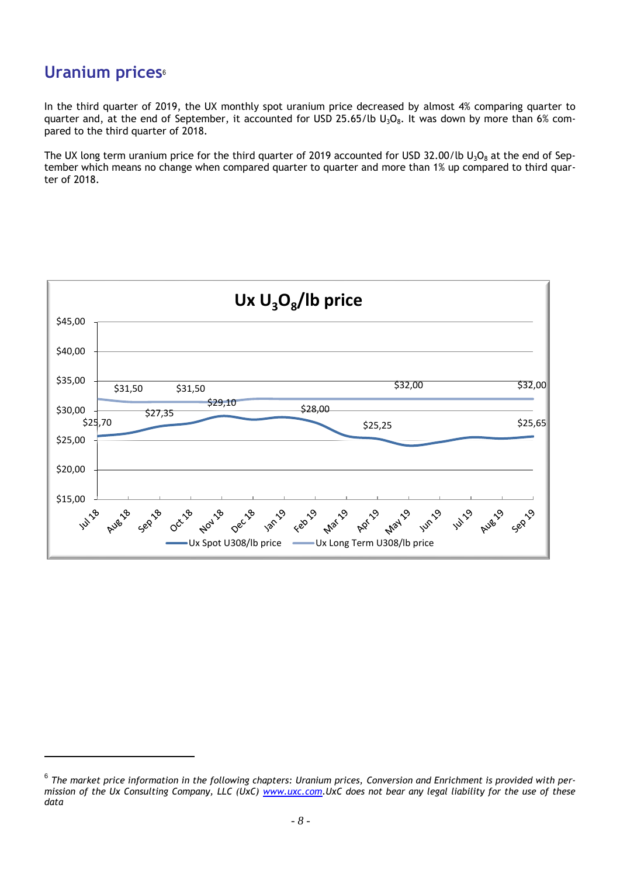### **Uranium prices**<sup>6</sup>

 $\overline{\phantom{a}}$ 

In the third quarter of 2019, the UX monthly spot uranium price decreased by almost 4% comparing quarter to quarter and, at the end of September, it accounted for USD 25.65/lb  $U_3O_8$ . It was down by more than 6% compared to the third quarter of 2018.

The UX long term uranium price for the third quarter of 2019 accounted for USD 32.00/lb  $U_3O_8$  at the end of September which means no change when compared quarter to quarter and more than 1% up compared to third quarter of 2018.



 $^6$  The market price information in the following chapters: Uranium prices, Conversion and Enrichment is provided with per*mission of the Ux Consulting Company, LLC (UxC) [www.uxc.com.](http://www.uxc.com/)UxC does not bear any legal liability for the use of these data*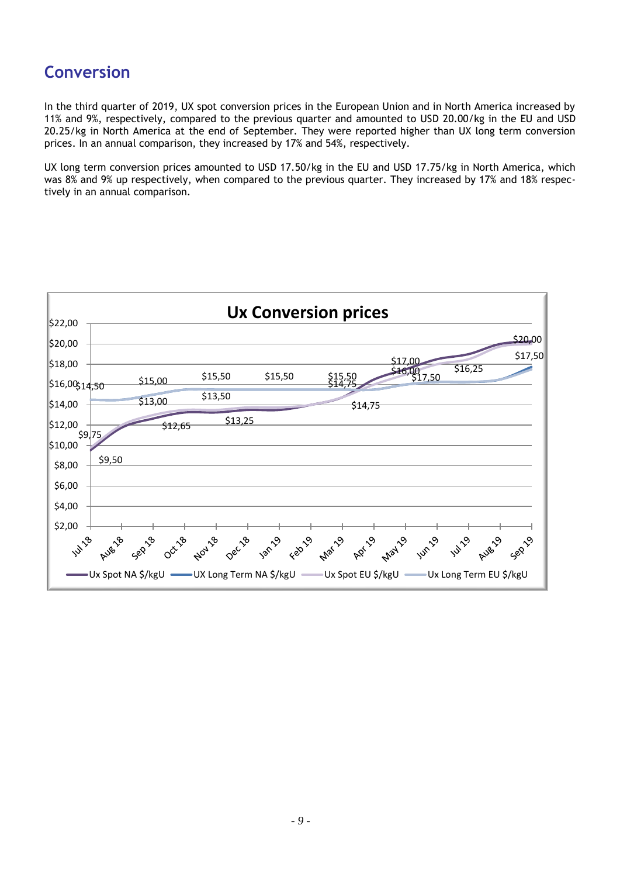### **Conversion**

In the third quarter of 2019, UX spot conversion prices in the European Union and in North America increased by 11% and 9%, respectively, compared to the previous quarter and amounted to USD 20.00/kg in the EU and USD 20.25/kg in North America at the end of September. They were reported higher than UX long term conversion prices. In an annual comparison, they increased by 17% and 54%, respectively.

UX long term conversion prices amounted to USD 17.50/kg in the EU and USD 17.75/kg in North America, which was 8% and 9% up respectively, when compared to the previous quarter. They increased by 17% and 18% respectively in an annual comparison.

| <b>Ux Conversion prices</b> |                                                                                             |  |  |  |  |  |
|-----------------------------|---------------------------------------------------------------------------------------------|--|--|--|--|--|
| \$22,00                     | \$20,00                                                                                     |  |  |  |  |  |
| \$20,00                     | \$17,50                                                                                     |  |  |  |  |  |
| \$18,00                     | \$17.00<br>\$16,25<br>$$16,00$ $$17,50$<br>\$15,50<br>\$15,50                               |  |  |  |  |  |
| \$16,00\$14,50              | \$15,50<br>\$14.75<br>\$15,00                                                               |  |  |  |  |  |
| \$14,00                     | \$13,50<br>\$13,00<br>\$14,75                                                               |  |  |  |  |  |
| \$12,00                     | \$13,25<br>\$12,65<br>\$9]75                                                                |  |  |  |  |  |
| \$10,00                     |                                                                                             |  |  |  |  |  |
| \$8,00                      | \$9,50                                                                                      |  |  |  |  |  |
| \$6,00                      |                                                                                             |  |  |  |  |  |
| \$4,00                      |                                                                                             |  |  |  |  |  |
| \$2,00                      |                                                                                             |  |  |  |  |  |
|                             | 1414 Ave Geb Oct April Dec 18 18 April 2019 April 1419 Ave Geb                              |  |  |  |  |  |
|                             | –Ux Spot NA \$/kgU  ——UX Long Term NA \$/kgU  ——Ux Spot EU \$/kgU  ——Ux Long Term EU \$/kgU |  |  |  |  |  |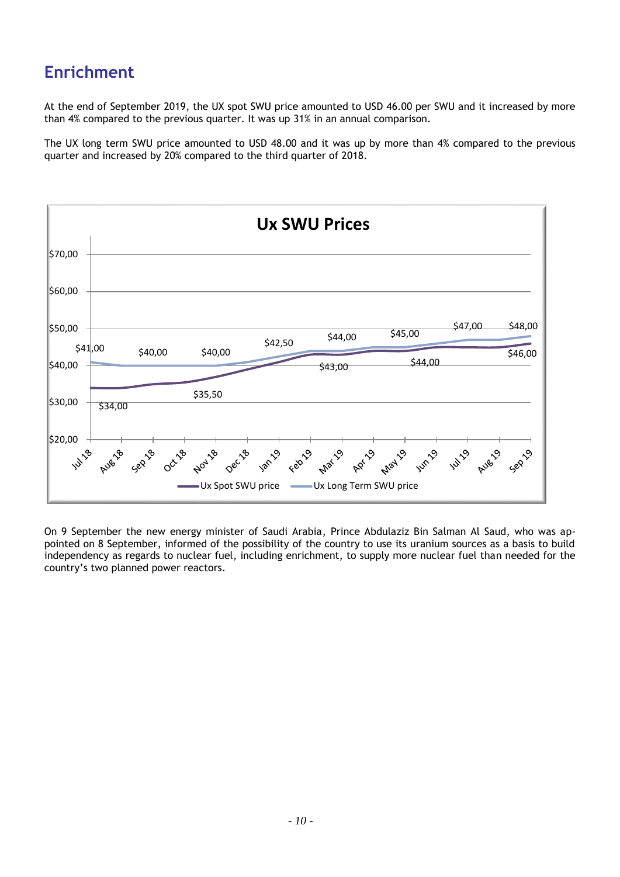## **Enrichment**

At the end of September 2019, the UX spot SWU price amounted to USD 46.00 per SWU and it increased by more than 4% compared to the previous quarter. It was up 31% in an annual comparison.

The UX long term SWU price amounted to USD 48.00 and it was up by more than 4% compared to the previous quarter and increased by 20% compared to the third quarter of 2018.



On 9 September the new energy minister of Saudi Arabia, Prince Abdulaziz Bin Salman Al Saud, who was appointed on 8 September, informed of the possibility of the country to use its uranium sources as a basis to build independency as regards to nuclear fuel, including enrichment, to supply more nuclear fuel than needed for the country's two planned power reactors.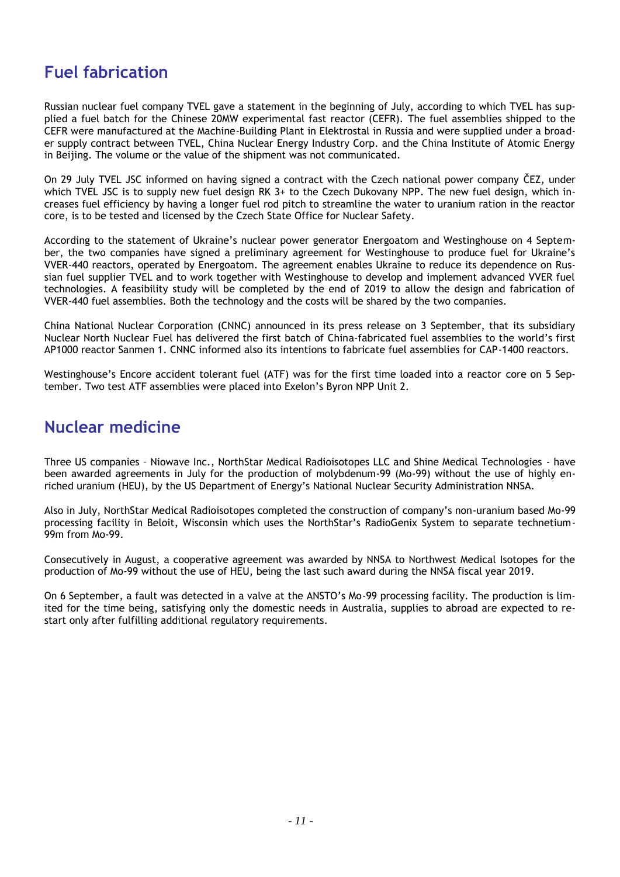### **Fuel fabrication**

Russian nuclear fuel company TVEL gave a statement in the beginning of July, according to which TVEL has supplied a fuel batch for the Chinese 20MW experimental fast reactor (CEFR). The fuel assemblies shipped to the CEFR were manufactured at the Machine-Building Plant in Elektrostal in Russia and were supplied under a broader supply contract between TVEL, China Nuclear Energy Industry Corp. and the China Institute of Atomic Energy in Beijing. The volume or the value of the shipment was not communicated.

On 29 July TVEL JSC informed on having signed a contract with the Czech national power company ČEZ, under which TVEL JSC is to supply new fuel design RK 3+ to the Czech Dukovany NPP. The new fuel design, which increases fuel efficiency by having a longer fuel rod pitch to streamline the water to uranium ration in the reactor core, is to be tested and licensed by the Czech State Office for Nuclear Safety.

According to the statement of Ukraine's nuclear power generator Energoatom and Westinghouse on 4 September, the two companies have signed a preliminary agreement for Westinghouse to produce fuel for Ukraine's VVER-440 reactors, operated by Energoatom. The agreement enables Ukraine to reduce its dependence on Russian fuel supplier TVEL and to work together with Westinghouse to develop and implement advanced VVER fuel technologies. A feasibility study will be completed by the end of 2019 to allow the design and fabrication of VVER-440 fuel assemblies. Both the technology and the costs will be shared by the two companies.

China National Nuclear Corporation (CNNC) announced in its press release on 3 September, that its subsidiary Nuclear North Nuclear Fuel has delivered the first batch of China-fabricated fuel assemblies to the world's first AP1000 reactor Sanmen 1. CNNC informed also its intentions to fabricate fuel assemblies for CAP-1400 reactors.

Westinghouse's Encore accident tolerant fuel (ATF) was for the first time loaded into a reactor core on 5 September. Two test ATF assemblies were placed into Exelon's Byron NPP Unit 2.

### **Nuclear medicine**

Three US companies – Niowave Inc., NorthStar Medical Radioisotopes LLC and Shine Medical Technologies - have been awarded agreements in July for the production of molybdenum-99 (Mo-99) without the use of highly enriched uranium (HEU), by the US Department of Energy's National Nuclear Security Administration NNSA.

Also in July, NorthStar Medical Radioisotopes completed the construction of company's non-uranium based Mo-99 processing facility in Beloit, Wisconsin which uses the NorthStar's RadioGenix System to separate technetium-99m from Mo-99.

Consecutively in August, a cooperative agreement was awarded by NNSA to Northwest Medical Isotopes for the production of Mo-99 without the use of HEU, being the last such award during the NNSA fiscal year 2019.

On 6 September, a fault was detected in a valve at the ANSTO's Mo-99 processing facility. The production is limited for the time being, satisfying only the domestic needs in Australia, supplies to abroad are expected to restart only after fulfilling additional regulatory requirements.